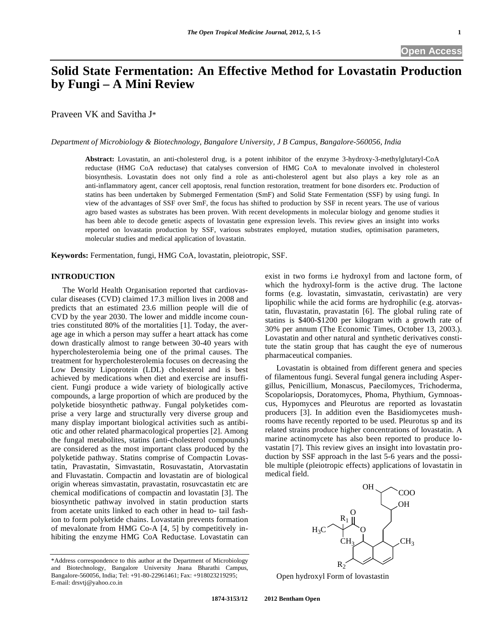# **Solid State Fermentation: An Effective Method for Lovastatin Production by Fungi – A Mini Review**

Praveen VK and Savitha J\*

*Department of Microbiology & Biotechnology, Bangalore University, J B Campus, Bangalore-560056, India* 

**Abstract:** Lovastatin, an anti-cholesterol drug, is a potent inhibitor of the enzyme 3-hydroxy-3-methylglutaryl-CoA reductase (HMG CoA reductase) that catalyses conversion of HMG CoA to mevalonate involved in cholesterol biosynthesis. Lovastatin does not only find a role as anti-cholesterol agent but also plays a key role as an anti-inflammatory agent, cancer cell apoptosis, renal function restoration, treatment for bone disorders etc. Production of statins has been undertaken by Submerged Fermentation (SmF) and Solid State Fermentation (SSF) by using fungi. In view of the advantages of SSF over SmF, the focus has shifted to production by SSF in recent years. The use of various agro based wastes as substrates has been proven. With recent developments in molecular biology and genome studies it has been able to decode genetic aspects of lovastatin gene expression levels. This review gives an insight into works reported on lovastatin production by SSF, various substrates employed, mutation studies, optimisation parameters, molecular studies and medical application of lovastatin.

**Keywords:** Fermentation, fungi, HMG CoA, lovastatin, pleiotropic, SSF.

## **INTRODUCTION**

 The World Health Organisation reported that cardiovascular diseases (CVD) claimed 17.3 million lives in 2008 and predicts that an estimated 23.6 million people will die of CVD by the year 2030. The lower and middle income countries constituted 80% of the mortalities [1]. Today, the average age in which a person may suffer a heart attack has come down drastically almost to range between 30-40 years with hypercholesterolemia being one of the primal causes. The treatment for hypercholesterolemia focuses on decreasing the Low Density Lipoprotein (LDL) cholesterol and is best achieved by medications when diet and exercise are insufficient. Fungi produce a wide variety of biologically active compounds, a large proportion of which are produced by the polyketide biosynthetic pathway. Fungal polyketides comprise a very large and structurally very diverse group and many display important biological activities such as antibiotic and other related pharmacological properties [2]. Among the fungal metabolites, statins (anti-cholesterol compounds) are considered as the most important class produced by the polyketide pathway. Statins comprise of Compactin Lovastatin, Pravastatin, Simvastatin, Rosuvastatin, Atorvastatin and Fluvastatin. Compactin and lovastatin are of biological origin whereas simvastatin, pravastatin, rosuvcastatin etc are chemical modifications of compactin and lovastatin [3]. The biosynthetic pathway involved in statin production starts from acetate units linked to each other in head to- tail fashion to form polyketide chains. Lovastatin prevents formation of mevalonate from HMG Co-A [4, 5] by competitively inhibiting the enzyme HMG CoA Reductase. Lovastatin can

exist in two forms i.e hydroxyl from and lactone form, of which the hydroxyl-form is the active drug. The lactone forms (e.g. lovastatin, simvastatin, cerivastatin) are very lipophilic while the acid forms are hydrophilic (e.g. atorvastatin, fluvastatin, pravastatin [6]. The global ruling rate of statins is \$400-\$1200 per kilogram with a growth rate of 30% per annum (The Economic Times, October 13, 2003.). Lovastatin and other natural and synthetic derivatives constitute the statin group that has caught the eye of numerous pharmaceutical companies.

 Lovastatin is obtained from different genera and species of filamentous fungi. Several fungal genera including Aspergillus, Penicillium, Monascus, Paecilomyces, Trichoderma, Scopolariopsis, Doratomyces, Phoma, Phythium, Gymnoascus, Hypomyces and Pleurotus are reported as lovastatin producers [3]. In addition even the Basidiomycetes mushrooms have recently reported to be used. Pleurotus sp and its related strains produce higher concentrations of lovastatin. A marine actinomycete has also been reported to produce lovastatin [7]. This review gives an insight into lovastatin production by SSF approach in the last 5-6 years and the possible multiple (pleiotropic effects) applications of lovastatin in medical field.



Open hydroxyl Form of lovastastin

<sup>\*</sup>Address correspondence to this author at the Department of Microbiology and Biotechnology, Bangalore University Jnana Bharathi Campus, Bangalore-560056, India; Tel: +91-80-22961461; Fax: +918023219295; E-mail: drsvtj@yahoo.co.in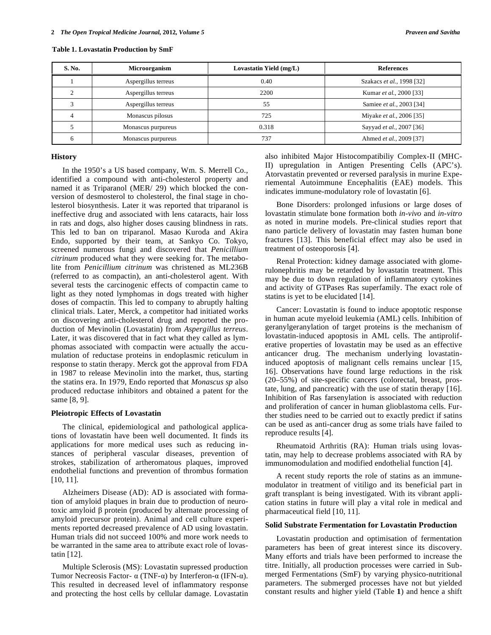| S. No. | Microorganism       | Lovastatin Yield (mg/L) | <b>References</b>         |
|--------|---------------------|-------------------------|---------------------------|
|        | Aspergillus terreus | 0.40                    | Szakacs et al., 1998 [32] |
|        | Aspergillus terreus | 2200                    | Kumar et al., 2000 [33]   |
|        | Aspergillus terreus | 55                      | Samiee et al., 2003 [34]  |
|        | Monascus pilosus    | 725                     | Miyake et al., 2006 [35]  |
|        | Monascus purpureus  | 0.318                   | Sayyad et al., 2007 [36]  |
|        | Monascus purpureus  | 737                     | Ahmed et al., 2009 [37]   |

**Table 1. Lovastatin Production by SmF** 

#### **History**

 In the 1950's a US based company, Wm. S. Merrell Co., identified a compound with anti-cholesterol property and named it as Triparanol (MER/ 29) which blocked the conversion of desmosterol to cholesterol, the final stage in cholesterol biosynthesis. Later it was reported that triparanol is ineffective drug and associated with lens cataracts, hair loss in rats and dogs, also higher doses causing blindness in rats. This led to ban on triparanol. Masao Kuroda and Akira Endo, supported by their team, at Sankyo Co. Tokyo, screened numerous fungi and discovered that *Penicillium citrinum* produced what they were seeking for. The metabolite from *Penicillium citrinum* was christened as ML236B (referred to as compactin), an anti-cholesterol agent. With several tests the carcinogenic effects of compactin came to light as they noted lymphomas in dogs treated with higher doses of compactin. This led to company to abruptly halting clinical trials. Later, Merck, a competitor had initiated works on discovering anti-cholesterol drug and reported the production of Mevinolin (Lovastatin) from *Aspergillus terreus*. Later, it was discovered that in fact what they called as lymphomas associated with compactin were actually the accumulation of reductase proteins in endoplasmic reticulum in response to statin therapy. Merck got the approval from FDA in 1987 to release Mevinolin into the market, thus, starting the statins era. In 1979, Endo reported that *Monascus sp* also produced reductase inhibitors and obtained a patent for the same [8, 9].

## **Pleiotropic Effects of Lovastatin**

 The clinical, epidemiological and pathological applications of lovastatin have been well documented. It finds its applications for more medical uses such as reducing instances of peripheral vascular diseases, prevention of strokes, stabilization of artheromatous plaques, improved endothelial functions and prevention of thrombus formation [10, 11].

 Alzheimers Disease (AD): AD is associated with formation of amyloid plaques in brain due to production of neurotoxic amyloid  $\beta$  protein (produced by alternate processing of amyloid precursor protein). Animal and cell culture experiments reported decreased prevalence of AD using lovastatin. Human trials did not succeed 100% and more work needs to be warranted in the same area to attribute exact role of lovastatin [12].

 Multiple Sclerosis (MS): Lovastatin supressed production Tumor Necreosis Factor-  $\alpha$  (TNF- $\alpha$ ) by Interferon- $\alpha$  (IFN- $\alpha$ ). This resulted in decreased level of inflammatory response and protecting the host cells by cellular damage. Lovastatin also inhibited Major Histocompatibiliy Complex-II (MHC-II) upregulation in Antigen Presenting Cells (APC's). Atorvastatin prevented or reversed paralysis in murine Experiemental Autoimmune Encephalitis (EAE) models. This indicates immune-modulatory role of lovastatin [6].

 Bone Disorders: prolonged infusions or large doses of lovastatin stimulate bone formation both *in-vivo* and *in-vitro* as noted in murine models. Pre-clinical studies report that nano particle delivery of lovastatin may fasten human bone fractures [13]. This beneficial effect may also be used in treatment of osteoporosis [4].

 Renal Protection: kidney damage associated with glomerulonephritis may be retarded by lovastatin treatment. This may be due to down regulation of inflammatory cytokines and activity of GTPases Ras superfamily. The exact role of statins is yet to be elucidated [14].

 Cancer: Lovastatin is found to induce apoptotic response in human acute myeloid leukemia (AML) cells. Inhibition of geranylgeranylation of target proteins is the mechanism of lovastatin-induced apoptosis in AML cells. The antiproliferative properties of lovastatin may be used as an effective anticancer drug. The mechanism underlying lovastatininduced apoptosis of malignant cells remains unclear [15, 16]. Observations have found large reductions in the risk (20–55%) of site-specific cancers (colorectal, breast, prostate, lung, and pancreatic) with the use of statin therapy [16]. Inhibition of Ras farsenylation is associated with reduction and proliferation of cancer in human glioblastoma cells. Further studies need to be carried out to exactly predict if satins can be used as anti-cancer drug as some trials have failed to reproduce results [4].

 Rheumatoid Arthritis (RA): Human trials using lovastatin, may help to decrease problems associated with RA by immunomodulation and modified endothelial function [4].

 A recent study reports the role of statins as an immunemodulator in treatment of vitiligo and its beneficial part in graft transplant is being investigated. With its vibrant application statins in future will play a vital role in medical and pharmaceutical field [10, 11].

## **Solid Substrate Fermentation for Lovastatin Production**

 Lovastatin production and optimisation of fermentation parameters has been of great interest since its discovery. Many efforts and trials have been performed to increase the titre. Initially, all production processes were carried in Submerged Fermentations (SmF) by varying physico-nutritional parameters. The submerged processes have not but yielded constant results and higher yield (Table **1**) and hence a shift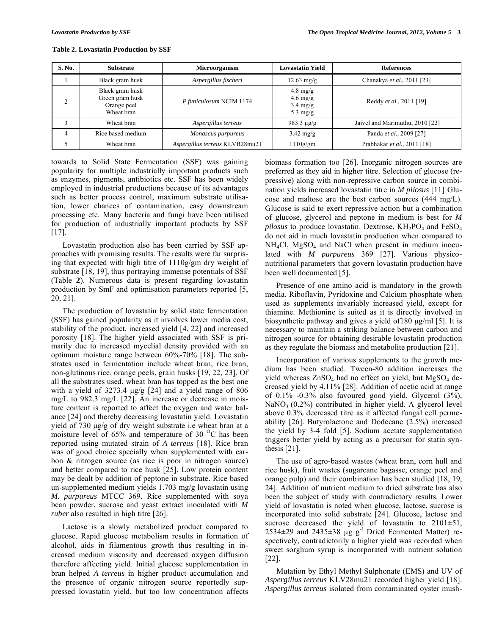| Table 2. Lovastatin Production by SSF |  |
|---------------------------------------|--|
|---------------------------------------|--|

| S. No. | <b>Substrate</b>                                                | Microorganism                  | <b>Lovastatin Yield</b>                                                              | <b>References</b>               |
|--------|-----------------------------------------------------------------|--------------------------------|--------------------------------------------------------------------------------------|---------------------------------|
|        | Black gram husk                                                 | Aspergillus fischeri           | $12.63 \text{ mg/g}$                                                                 | Chanakya et al., 2011 [23]      |
|        | Black gram husk<br>Green gram husk<br>Orange peel<br>Wheat bran | P funiculosum NCIM 1174        | $4.8 \text{ mg/g}$<br>$4.6 \text{ mg/g}$<br>$3.4 \text{ mg/g}$<br>$5.3 \text{ mg/g}$ | Reddy et al., 2011 [19]         |
|        | Wheat bran                                                      | Aspergillus terreus            | 983.3 $\mu$ g/g                                                                      | Jaivel and Marimuthu, 2010 [22] |
| 4      | Rice based medium                                               | Monascus purpureus             | $3.42 \text{ mg/g}$                                                                  | Panda et al., 2009 [27]         |
|        | Wheat bran                                                      | Aspergillus terreus KLVB28mu21 | 1110g/cm                                                                             | Prabhakar et al., 2011 [18]     |

towards to Solid State Fermentation (SSF) was gaining popularity for multiple industrially important products such as enzymes, pigments, antibiotics etc. SSF has been widely employed in industrial productions because of its advantages such as better process control, maximum substrate utilisation, lower chances of contamination, easy downstream processing etc. Many bacteria and fungi have been utilised for production of industrially important products by SSF [17].

 Lovastatin production also has been carried by SSF approaches with promising results. The results were far surprising that expected with high titre of 1110g/gm dry weight of substrate [18, 19], thus portraying immense potentials of SSF (Table **2**). Numerous data is present regarding lovastatin production by SmF and optimisation parameters reported [5, 20, 21].

 The production of lovastatin by solid state fermentation (SSF) has gained popularity as it involves lower media cost, stability of the product, increased yield [4, 22] and increased porosity [18]. The higher yield associated with SSF is primarily due to increased mycelial density provided with an optimum moisture range between 60%-70% [18]. The substrates used in fermentation include wheat bran, rice bran, non-glutinous rice, orange peels, grain husks [19, 22, 23]. Of all the substrates used, wheat bran has topped as the best one with a yield of 3273.4 μg/g [24] and a yield range of 806 mg/L to 982.3 mg/L [22]. An increase or decrease in moisture content is reported to affect the oxygen and water balance [24] and thereby decreasing lovastatin yield. Lovastatin yield of 730 μg/g of dry weight substrate i.e wheat bran at a moisture level of  $65\%$  and temperature of  $30\degree\text{C}$  has been reported using mutated strain of *A terreus* [18]. Rice bran was of good choice specially when supplemented with carbon & nitrogen source (as rice is poor in nitrogen source) and better compared to rice husk [25]. Low protein content may be dealt by addition of peptone in substrate. Rice based un-supplemented medium yields 1.703 mg/g lovastatin using *M. purpureus* MTCC 369. Rice supplemented with soya bean powder, sucrose and yeast extract inoculated with *M ruber* also resulted in high titre [26].

 Lactose is a slowly metabolized product compared to glucose. Rapid glucose metabolism results in formation of alcohol, aids in filamentous growth thus resulting in increased medium viscosity and decreased oxygen diffusion therefore affecting yield. Initial glucose supplementation in bran helped *A terreus* in higher product accumulation and the presence of organic nitrogen source reportedly suppressed lovastatin yield, but too low concentration affects

biomass formation too [26]. Inorganic nitrogen sources are preferred as they aid in higher titre. Selection of glucose (repressive) along with non-repressive carbon source in combination yields increased lovastatin titre in *M pilosus* [11]. Glucose and maltose are the best carbon sources (444 mg/L). Glucose is said to exert repressive action but a combination of glucose, glycerol and peptone in medium is best for *M*   $pilosus$  to produce lovastatin. Dextrose,  $KH_2PO_4$  and  $FeSO_4$ do not aid in much lovastatin production when compared to  $NH<sub>4</sub>Cl$ ,  $MgSO<sub>4</sub>$  and NaCl when present in medium inoculated with *M purpureus* 369 [27]. Various physiconutritional parameters that govern lovastatin production have been well documented [5].

 Presence of one amino acid is mandatory in the growth media. Riboflavin, Pyridoxine and Calcium phosphate when used as supplements invariably increased yield, except for thiamine. Methionine is suited as it is directly involved in biosynthetic pathway and gives a yield of180 μg/ml [5]. It is necessary to maintain a striking balance between carbon and nitrogen source for obtaining desirable lovastatin production as they regulate the biomass and metabolite production [21].

 Incorporation of various supplements to the growth medium has been studied. Tween-80 addition increases the yield whereas  $ZnSO_4$  had no effect on yield, but  $MgSO_4$  decreased yield by 4.11% [28]. Addition of acetic acid at range of 0.1% -0.3% also favoured good yield. Glycerol (3%),  $NaNO<sub>3</sub>$  (0.2%) contributed in higher yield. A glycerol level above 0.3% decreased titre as it affected fungal cell permeability [26]. Butyrolactone and Dodecane (2.5%) increased the yield by 3-4 fold [5]. Sodium acetate supplementation triggers better yield by acting as a precursor for statin synthesis [21].

 The use of agro-based wastes (wheat bran, corn hull and rice husk), fruit wastes (sugarcane bagasse, orange peel and orange pulp) and their combination has been studied [18, 19, 24]. Addition of nutrient medium to dried substrate has also been the subject of study with contradictory results. Lower yield of lovastatin is noted when glucose, lactose, sucrose is incorporated into solid substrate [24]. Glucose, lactose and sucrose decreased the yield of lovastatin to  $2101 \pm 51$ , 2534 $\pm$ 29 and 2435 $\pm$ 38 µg g<sup>-1</sup> Dried Fermented Matter) respectively, contradictorily a higher yield was recorded when sweet sorghum syrup is incorporated with nutrient solution [22].

 Mutation by Ethyl Methyl Sulphonate (EMS) and UV of *Aspergillus terreus* KLV28mu21 recorded higher yield [18]. *Aspergillus terreus* isolated from contaminated oyster mush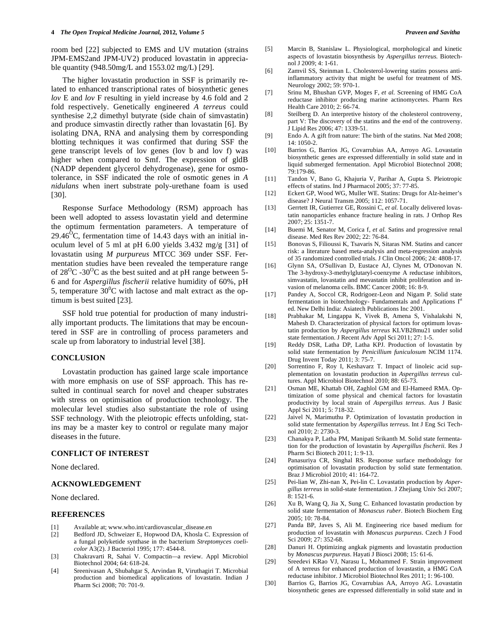room bed [22] subjected to EMS and UV mutation (strains JPM-EMS2and JPM-UV2) produced lovastatin in appreciable quantity (948.50mg/L and 1553.02 mg/L) [29].

 The higher lovastatin production in SSF is primarily related to enhanced transcriptional rates of biosynthetic genes *lov* E and *lov* F resulting in yield increase by 4.6 fold and 2 fold respectively. Genetically engineered *A terreus* could synthesise 2,2 dimethyl butyrate (side chain of simvastatin) and produce simvastin directly rather than lovastatin [6]. By isolating DNA, RNA and analysing them by corresponding blotting techniques it was confirmed that during SSF the gene transcript levels of lov genes (lov b and lov f) was higher when compared to Smf. The expression of gldB (NADP dependent glycerol dehydrogenase), gene for osmotolerance, in SSF indicated the role of osmotic genes in *A nidulans* when inert substrate poly-urethane foam is used [30].

 Response Surface Methodology (RSM) approach has been well adopted to assess lovastatin yield and determine the optimum fermentation parameters. A temperature of 29.46<sup>o</sup>C, fermentation time of 14.43 days with an initial inoculum level of 5 ml at pH 6.00 yields 3.432 mg/g [31] of lovastatin using *M purpureus* MTCC 369 under SSF. Fermentation studies have been revealed the temperature range of  $28^{\circ}$ C -30<sup>o</sup>C as the best suited and at pH range between 5-6 and for *Aspergillus fischerii* relative humidity of 60%, pH 5, temperature  $30^{\circ}$ C with lactose and malt extract as the optimum is best suited [23].

 SSF hold true potential for production of many industrially important products. The limitations that may be encountered in SSF are in controlling of process parameters and scale up from laboratory to industrial level [38].

## **CONCLUSION**

 Lovastatin production has gained large scale importance with more emphasis on use of SSF approach. This has resulted in continual search for novel and cheaper substrates with stress on optimisation of production technology. The molecular level studies also substantiate the role of using SSF technology. With the pleiotropic effects unfolding, statins may be a master key to control or regulate many major diseases in the future.

## **CONFLICT OF INTEREST**

None declared.

#### **ACKNOWLEDGEMENT**

None declared.

## **REFERENCES**

- Available at; www.who.int/cardiovascular\_disease.en
- [2] Bedford JD, Schweizer E, Hopwood DA, Khosla C. Expression of a fungal polyketide synthase in the bacterium *Streptomyces coelicolor* A3(2). J Bacteriol 1995; 177: 4544-8.
- [3] Chakravarti R, Sahai V. Compactin*—*a review. Appl Microbiol Biotechnol 2004; 64: 618-24.
- [4] Sreenivasan A, Shubahgar S, Arvindan R, Viruthagiri T. Microbial production and biomedical applications of lovastatin. Indian J Pharm Sci 2008; 70: 701-9.
- [5] Marcin B, Stanislaw L. Physiological, morphological and kinetic aspects of lovastatin biosynthesis by *Aspergillus terreus.* Biotechnol J 2009; 4: 1-61.
- [6] Zamvil SS, Steinman L. Cholesterol-lowering statins possess antiinflammatory activity that might be useful for treatment of MS. Neurology 2002; 59: 970-1.
- [7] Srinu M, Bhushan GVP, Moges F, *et al.* Screening of HMG CoA reductase inhibitor producing marine actinomycetes. Pharm Res Health Care 2010; 2: 66-74.
- [8] Steilberg D. An interpretive history of the cholesterol controversy, part V: The discovery of the statins and the end of the controversy. J Lipid Res 2006; 47: 1339-51.
- [9] Endo A. A gift from nature: The birth of the statins. Nat Med 2008; 14: 1050-2.
- [10] Barrios G, Barrios JG, Covarrubias AA, Arroyo AG. Lovastatin biosynthetic genes are expressed differentially in solid state and in liquid submerged fermentation. Appl Microbiol Biotechnol 2008; 79:179-86.
- [11] Tandon V, Bano G, Khajuria V, Parihar A, Gupta S. Pleiotropic effects of statins. Ind J Pharmacol 2005; 37: 77-85.
- [12] Eckert GP, Wood WG, Muller WE. Statins: Drugs for Alz-heimer's disease? J Neural Transm 2005; 112: 1057-71.
- [13] Gerrtett IR, Gutierrez GE, Rossini C, *et al.* Locally delivered lovastatin nanoparticles enhance fracture healing in rats. J Orthop Res 2007; 25: 1351-7.
- [14] Buemi M, Senator M, Corica f, *et al.* Satins and progressive renal disease. Med Res Rev 2002; 22: 76-84.
- [15] Bonovas S, Filioussi K, Tsavaris N, Sitaras NM. Statins and cancer risk: a literature based meta-analysis and meta-regression analysis of 35 randomized controlled trials. J Clin Oncol 2006; 24: 4808-17.
- [16] Glynn SA, O'Sullivan D, Eustace AJ, Clynes M, O'Donovan N. The 3-hydroxy-3-methylglutaryl-coenzyme A reductase inhibitors, simvastatin, lovastatin and mevastatin inhibit proliferation and invasion of melanoma cells. BMC Cancer 2008; 16: 8-9.
- [17] Pandey A, Soccol CR, Rodrigoez-Leon and Nigam P. Solid state fermentation in biotechnology- Fundamentals and Applications Ist ed. New Delhi India: Asiatech Publications Inc 2001.
- [18] Prabhakar M, Lingappa K, Vivek B, Amena S, Vishalakshi N, Mahesh D. Characterization of physical factors for optimum lovastatin production by *Aspergillus terreus* KLVB28mu21 under solid state fermentation. J Recent Adv Appl Sci 2011; 27: 1-5.
- [19] Reddy DSR, Latha DP, Latha KPJ. Production of lovastatin by solid state fermentation by *Penicillium funiculosum* NCIM 1174. Drug Invent Today 2011; 3: 75-7.
- [20] Sorrentino F, Roy I, Keshavarz T. Impact of linoleic acid supplementation on lovastatin production in *Aspergillus terreus* cultures. Appl Microbiol Biotechnol 2010; 88: 65-73.
- [21] Osman ME, Khattab OH, Zaghlol GM and El-Hameed RMA. Optimization of some physical and chemical factors for lovastatin productivity by local strain of *Aspergillus terreus*. Aus J Basic Appl Sci 2011; 5: 718-32.
- [22] Jaivel N, Marimuthu P. Optimization of lovastatin production in solid state fermentation by *Aspergillus terreus.* Int J Eng Sci Technol 2010; 2: 2730-3.
- [23] Chanakya P, Latha PM, Manipati Srikanth M. Solid state fermentation for the production of lovastatin by *Aspergillus fischerii.* Res J Pharm Sci Biotech 2011; 1: 9-13.
- [24] Panasuriya CR, Singhal RS. Response surface methodology for optimisation of lovastatin production by solid state fermentation. Braz J Microbiol 2010; 41: 164-72.
- [25] Pei-lian W, Zhi-nan X, Pei-lin C. Lovastatin production by *Aspergillus terreus* in solid-state fermentation. J Zhejiang Univ Sci 2007; 8: 1521-6*.*
- [26] Xu B, Wang Q, Jia X, Sung C. Enhanced lovastatin production by solid state fermentation of *Monascus ruber*. Biotech Biochem Eng 2005; 10: 78-84.
- [27] Panda BP, Javes S, Ali M. Engineering rice based medium for production of lovastatin with *Monascus purpureus*. Czech J Food Sci 2009; 27: 352-68.
- [28] Danuri H. Optimizing angkak pigments and lovastatin production by *Monascus purpureus*. Hayati J Biosci 2008; 15: 61-6.
- [29] Sreedevi KRao VJ, Narasu L, Mohammed F. Strain improvement of A terreus for enhanced production of lovastastin, a HMG CoA reductase inhibitor. J Microbiol Biotechnol Res 2011; 1: 96-100.
- [30] Barrios G, Barrios JG, Covarrubias AA, Arroyo AG. Lovastatin biosynthetic genes are expressed differentially in solid state and in